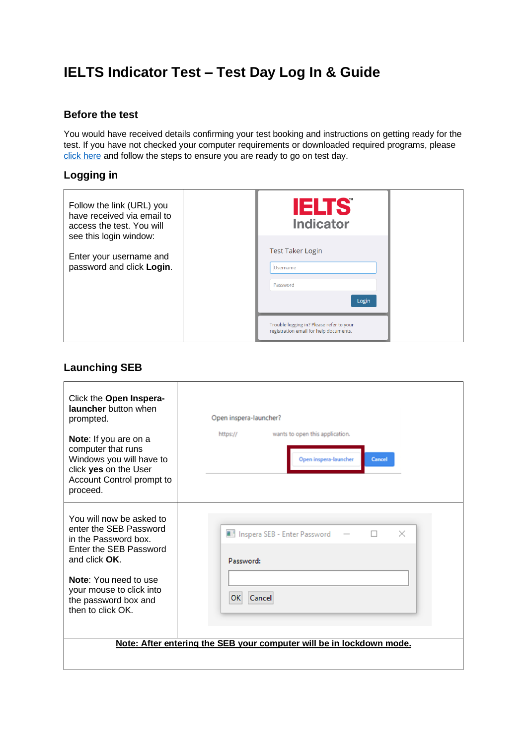# **IELTS Indicator Test – Test Day Log In & Guide**

#### **Before the test**

You would have received details confirming your test booking and instructions on getting ready for the test. If you have not checked your computer requirements or downloaded required programs, please [click here](https://www.ieltsindicator.com/instructions/) and follow the steps to ensure you are ready to go on test day.

#### **Logging in**

| Follow the link (URL) you<br>have received via email to<br>access the test. You will<br>see this login window: | <b>IELTS</b><br><b>Indicator</b>                                                   |  |
|----------------------------------------------------------------------------------------------------------------|------------------------------------------------------------------------------------|--|
| Enter your username and<br>password and click Login.                                                           | <b>Test Taker Login</b><br>Username<br>Password<br>Login                           |  |
|                                                                                                                | Trouble logging in? Please refer to your<br>registration email for help documents. |  |

## **Launching SEB**

| Click the Open Inspera-<br>launcher button when<br>prompted.<br>Note: If you are on a<br>computer that runs<br>Windows you will have to<br>click yes on the User<br>Account Control prompt to<br>proceed. | Open inspera-launcher?<br>wants to open this application.<br>https://<br>Open inspera-launcher<br>Cancel |
|-----------------------------------------------------------------------------------------------------------------------------------------------------------------------------------------------------------|----------------------------------------------------------------------------------------------------------|
| You will now be asked to<br>enter the SEB Password<br>in the Password box.<br>Enter the SEB Password<br>and click OK.                                                                                     | I Inspera SEB - Enter Password<br>П<br>$\times$<br>Password:                                             |
| Note: You need to use<br>your mouse to click into<br>the password box and<br>then to click OK.                                                                                                            | Cancel<br>OK                                                                                             |
|                                                                                                                                                                                                           | Note: After entering the SEB your computer will be in lockdown mode.                                     |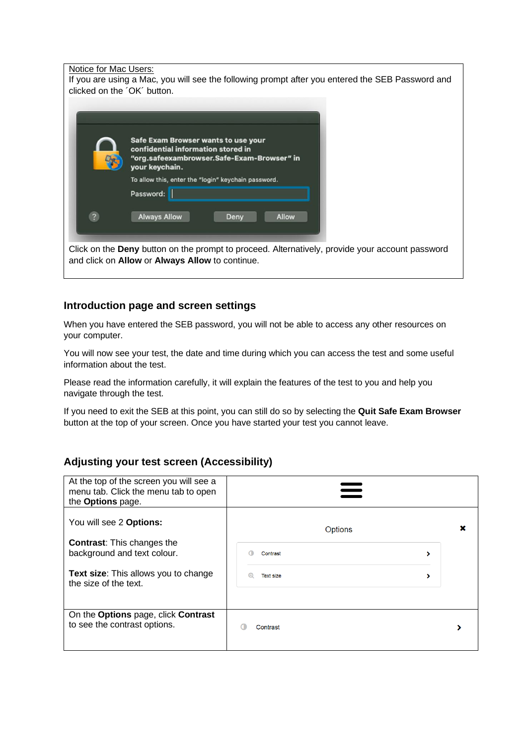Notice for Mac Users:

If you are using a Mac, you will see the following prompt after you entered the SEB Password and clicked on the ´OK´ button.

|                | Safe Exam Browser wants to use your<br>confidential information stored in |
|----------------|---------------------------------------------------------------------------|
|                | "org.safeexambrowser.Safe-Exam-Browser" in<br>your keychain.              |
|                | To allow this, enter the "login" keychain password.                       |
|                | Password:                                                                 |
| $\overline{a}$ | <b>Always Allow</b><br><b>Allow</b><br>Deny                               |

**ny** button on the prompt to proceed. Alternatively, provide your account password and click on **Allow** or **Always Allow** to continue.

#### **Introduction page and screen settings**

When you have entered the SEB password, you will not be able to access any other resources on your computer.

You will now see your test, the date and time during which you can access the test and some useful information about the test.

Please read the information carefully, it will explain the features of the test to you and help you navigate through the test.

If you need to exit the SEB at this point, you can still do so by selecting the **Quit Safe Exam Browser** button at the top of your screen. Once you have started your test you cannot leave.

#### **Adjusting your test screen (Accessibility)**

| At the top of the screen you will see a<br>menu tab. Click the menu tab to open<br>the Options page. |                  |   |  |
|------------------------------------------------------------------------------------------------------|------------------|---|--|
| You will see 2 Options:                                                                              | Options          |   |  |
| <b>Contrast:</b> This changes the<br>background and text colour.                                     | Contrast         | ⋗ |  |
| <b>Text size:</b> This allows you to change<br>the size of the text.                                 | <b>Text size</b> |   |  |
|                                                                                                      |                  |   |  |
| On the Options page, click Contrast<br>to see the contrast options.                                  | Contrast         |   |  |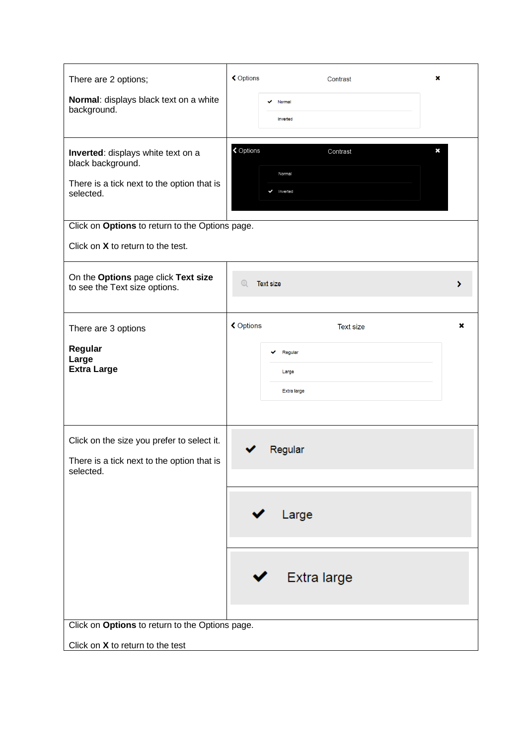| There are 2 options;                                                                                               | <b>く</b> Options | Contrast                               | × |
|--------------------------------------------------------------------------------------------------------------------|------------------|----------------------------------------|---|
| Normal: displays black text on a white<br>background.                                                              |                  | Normal<br>Inverted                     |   |
| Inverted: displays white text on a<br>black background.<br>There is a tick next to the option that is<br>selected. | <b>く</b> Options | Contrast<br>Normal<br>Inverted<br>✓    | × |
| Click on Options to return to the Options page.                                                                    |                  |                                        |   |
| Click on X to return to the test.                                                                                  |                  |                                        |   |
| On the Options page click Text size<br>to see the Text size options.                                               | $^\circledR$     | <b>Text size</b>                       | › |
| There are 3 options                                                                                                | <b>く</b> Options | <b>Text size</b>                       | × |
| Regular<br>Large<br><b>Extra Large</b>                                                                             |                  | Regular<br>Large<br><b>Extra large</b> |   |
| Click on the size you prefer to select it.<br>There is a tick next to the option that is<br>selected.              |                  | Regular                                |   |
|                                                                                                                    |                  | Large                                  |   |
|                                                                                                                    |                  | Extra large                            |   |
| Click on Options to return to the Options page.                                                                    |                  |                                        |   |
| Click on X to return to the test                                                                                   |                  |                                        |   |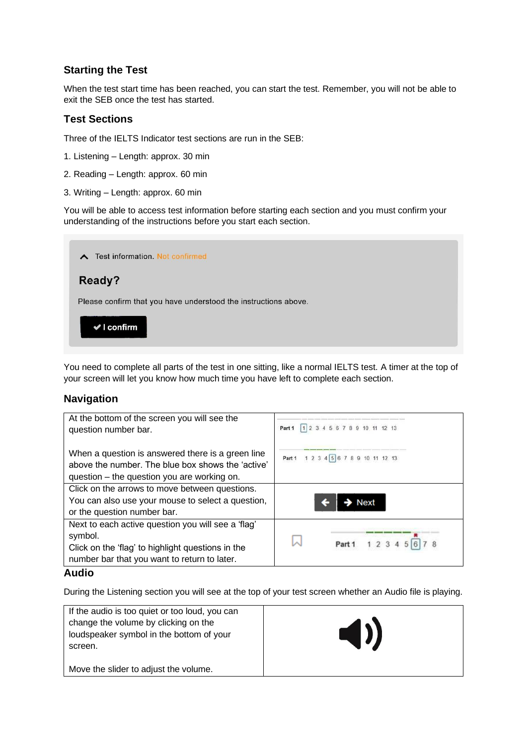#### **Starting the Test**

When the test start time has been reached, you can start the test. Remember, you will not be able to exit the SEB once the test has started.

#### **Test Sections**

Three of the IELTS Indicator test sections are run in the SEB:

1. Listening – Length: approx. 30 min

- 2. Reading Length: approx. 60 min
- 3. Writing Length: approx. 60 min

You will be able to access test information before starting each section and you must confirm your understanding of the instructions before you start each section.

#### ∧ Test information. Not confirmed

### Ready?

Please confirm that you have understood the instructions above.

 $\vee$  I confirm

You need to complete all parts of the test in one sitting, like a normal IELTS test. A timer at the top of your screen will let you know how much time you have left to complete each section.

#### **Navigation**

| At the bottom of the screen you will see the<br>question number bar.                                                                                  | $12$ 3 4 5 6 7 8 9 10 11 12 13<br>Part 1 |
|-------------------------------------------------------------------------------------------------------------------------------------------------------|------------------------------------------|
| When a question is answered there is a green line<br>above the number. The blue box shows the 'active'<br>question – the question you are working on. | 1 2 3 4 5 6 7 8 9 10 11 12 13<br>Part 1  |
| Click on the arrows to move between questions.                                                                                                        |                                          |
| You can also use your mouse to select a question,                                                                                                     | <b>Next</b>                              |
| or the question number bar.                                                                                                                           |                                          |
| Next to each active question you will see a 'flag'                                                                                                    |                                          |
| symbol.                                                                                                                                               |                                          |
| Click on the 'flag' to highlight questions in the                                                                                                     | Part 1                                   |
| number bar that you want to return to later.                                                                                                          |                                          |
| <b>Audio</b>                                                                                                                                          |                                          |

During the Listening section you will see at the top of your test screen whether an Audio file is playing.

| If the audio is too quiet or too loud, you can<br>change the volume by clicking on the<br>loudspeaker symbol in the bottom of your<br>screen. | $\blacktriangleleft$ |
|-----------------------------------------------------------------------------------------------------------------------------------------------|----------------------|
| Move the slider to adjust the volume.                                                                                                         |                      |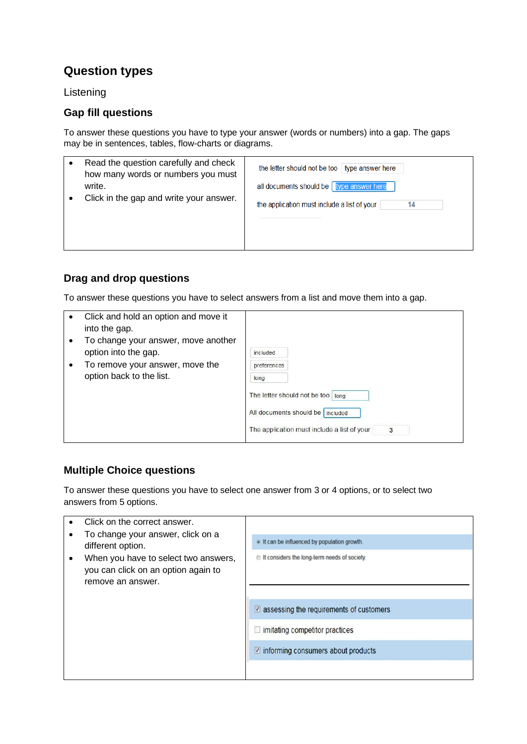## **Question types**

Listening

#### **Gap fill questions**

To answer these questions you have to type your answer (words or numbers) into a gap. The gaps may be in sentences, tables, flow-charts or diagrams.

| Read the question carefully and check<br>how many words or numbers you must | the letter should not be too $\frac{1}{2}$ type answer here |
|-----------------------------------------------------------------------------|-------------------------------------------------------------|
| write.                                                                      | all documents should be   type answer here                  |
| Click in the gap and write your answer.                                     | the application must include a list of your<br>14           |
|                                                                             |                                                             |

## **Drag and drop questions**

To answer these questions you have to select answers from a list and move them into a gap.

| Click and hold an option and move it<br>into the gap.       |                                                                                                                                                  |
|-------------------------------------------------------------|--------------------------------------------------------------------------------------------------------------------------------------------------|
| To change your answer, move another<br>option into the gap. | included                                                                                                                                         |
| To remove your answer, move the<br>option back to the list. | preferences<br>long<br>The letter should not be too<br>long<br>All documents should be   included<br>The application must include a list of your |

## **Multiple Choice questions**

To answer these questions you have to select one answer from 3 or 4 options, or to select two answers from 5 options.

|                                                        | Click on the correct answer.                                                                     |                                                         |
|--------------------------------------------------------|--------------------------------------------------------------------------------------------------|---------------------------------------------------------|
| To change your answer, click on a<br>different option. | . It can be influenced by population growth.                                                     |                                                         |
| ٠                                                      | When you have to select two answers,<br>you can click on an option again to<br>remove an answer. | the It considers the long-term needs of society.        |
|                                                        |                                                                                                  | $\triangledown$ assessing the requirements of customers |
|                                                        |                                                                                                  | $\Box$ imitating competitor practices                   |
|                                                        |                                                                                                  | $\vee$ informing consumers about products               |
|                                                        |                                                                                                  |                                                         |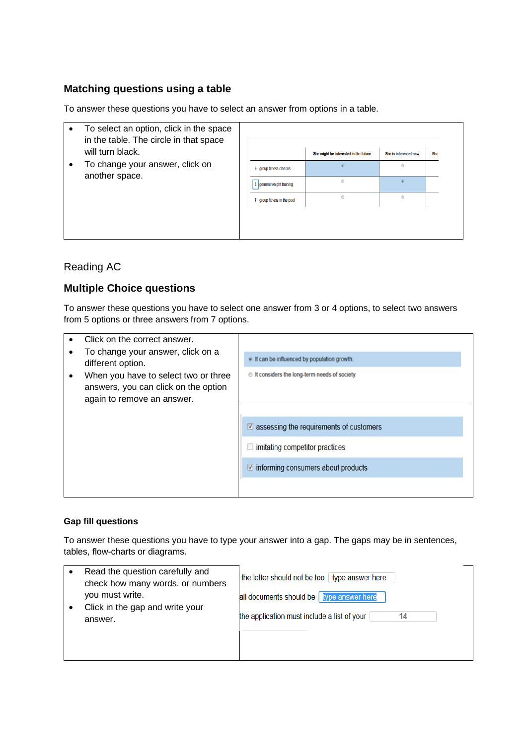### **Matching questions using a table**

To answer these questions you have to select an answer from options in a table.

- To select an option, click in the space in the table. The circle in that space will turn black.
- To change your answer, click on another space.

|                             | She might be interested in the future. | She is interested now. | She |
|-----------------------------|----------------------------------------|------------------------|-----|
| 5 group fitness classes     | $\bullet$                              | Ô                      |     |
| 6 general weight training   | $\odot$                                | $\circledcirc$         |     |
| 7 group fitness in the pool | 0                                      | $\odot$                |     |

#### Reading AC

## **Multiple Choice questions**

To answer these questions you have to select one answer from 3 or 4 options, to select two answers from 5 options or three answers from 7 options.

|                                                                                                                                                                      | Click on the correct answer.                     |                                                         |
|----------------------------------------------------------------------------------------------------------------------------------------------------------------------|--------------------------------------------------|---------------------------------------------------------|
| To change your answer, click on a<br>different option.<br>When you have to select two or three<br>answers, you can click on the option<br>again to remove an answer. | . It can be influenced by population growth.     |                                                         |
|                                                                                                                                                                      | the It considers the long-term needs of society. |                                                         |
|                                                                                                                                                                      |                                                  | $\triangledown$ assessing the requirements of customers |
|                                                                                                                                                                      |                                                  | imitating competitor practices                          |
|                                                                                                                                                                      |                                                  | $\triangledown$ informing consumers about products      |
|                                                                                                                                                                      |                                                  |                                                         |

#### **Gap fill questions**

To answer these questions you have to type your answer into a gap. The gaps may be in sentences, tables, flow-charts or diagrams.

| Read the question carefully and<br>check how many words. or numbers<br>you must write.<br>Click in the gap and write your | the letter should not be too   type answer here<br>all documents should be   type answer here |
|---------------------------------------------------------------------------------------------------------------------------|-----------------------------------------------------------------------------------------------|
| answer.                                                                                                                   | the application must include a list of your<br>14                                             |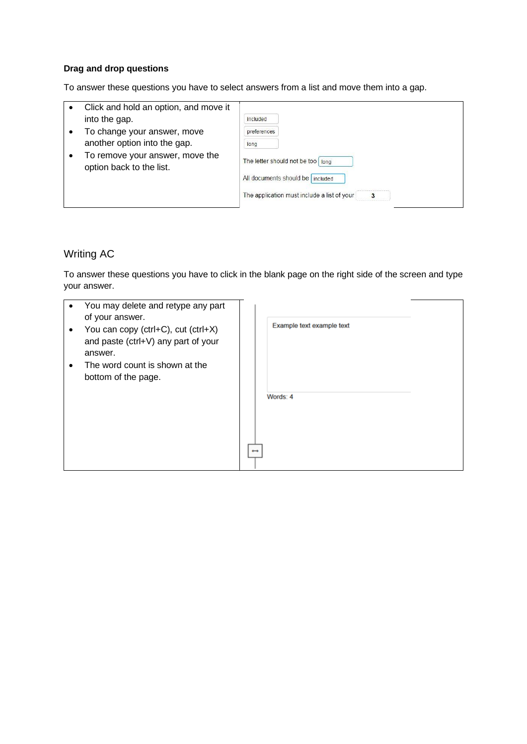#### **Drag and drop questions**

To answer these questions you have to select answers from a list and move them into a gap.

- Click and hold an option, and move it into the gap.
- To change your answer, move another option into the gap.
- To remove your answer, move the option back to the list.

| included                                                         |      |  |  |
|------------------------------------------------------------------|------|--|--|
| preferences                                                      |      |  |  |
| long                                                             |      |  |  |
|                                                                  |      |  |  |
| The letter should not be too<br>All documents should be included | long |  |  |

#### Writing AC

To answer these questions you have to click in the blank page on the right side of the screen and type your answer.

| $\bullet$ | You may delete and retype any part<br>of your answer.<br>You can copy (ctrl+C), cut (ctrl+X)<br>and paste (ctrl+V) any part of your<br>answer.<br>The word count is shown at the<br>bottom of the page. | Example text example text |  |
|-----------|---------------------------------------------------------------------------------------------------------------------------------------------------------------------------------------------------------|---------------------------|--|
|           |                                                                                                                                                                                                         | Words: 4                  |  |